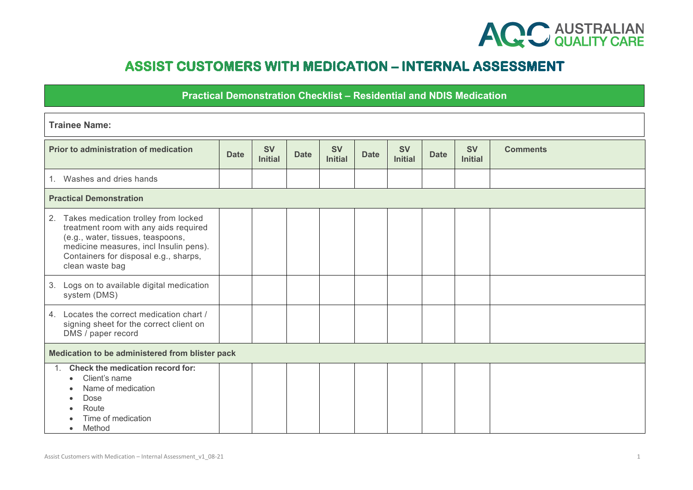

## **ASSIST CUSTOMERS WITH MEDICATION - INTERNAL ASSESSMENT**

## **Practical Demonstration Checklist – Residential and NDIS Medication**

| <b>Trainee Name:</b>                                                                                                                                                                                                        |             |                             |             |                             |             |                             |             |                             |                 |
|-----------------------------------------------------------------------------------------------------------------------------------------------------------------------------------------------------------------------------|-------------|-----------------------------|-------------|-----------------------------|-------------|-----------------------------|-------------|-----------------------------|-----------------|
| Prior to administration of medication                                                                                                                                                                                       | <b>Date</b> | <b>SV</b><br><b>Initial</b> | <b>Date</b> | <b>SV</b><br><b>Initial</b> | <b>Date</b> | <b>SV</b><br><b>Initial</b> | <b>Date</b> | <b>SV</b><br><b>Initial</b> | <b>Comments</b> |
| 1. Washes and dries hands                                                                                                                                                                                                   |             |                             |             |                             |             |                             |             |                             |                 |
| <b>Practical Demonstration</b>                                                                                                                                                                                              |             |                             |             |                             |             |                             |             |                             |                 |
| 2. Takes medication trolley from locked<br>treatment room with any aids required<br>(e.g., water, tissues, teaspoons,<br>medicine measures, incl Insulin pens).<br>Containers for disposal e.g., sharps,<br>clean waste bag |             |                             |             |                             |             |                             |             |                             |                 |
| 3. Logs on to available digital medication<br>system (DMS)                                                                                                                                                                  |             |                             |             |                             |             |                             |             |                             |                 |
| 4. Locates the correct medication chart /<br>signing sheet for the correct client on<br>DMS / paper record                                                                                                                  |             |                             |             |                             |             |                             |             |                             |                 |
| Medication to be administered from blister pack                                                                                                                                                                             |             |                             |             |                             |             |                             |             |                             |                 |
| 1. Check the medication record for:<br>Client's name<br>$\bullet$<br>Name of medication<br>Dose<br>Route<br>Time of medication<br>Method<br>$\bullet$                                                                       |             |                             |             |                             |             |                             |             |                             |                 |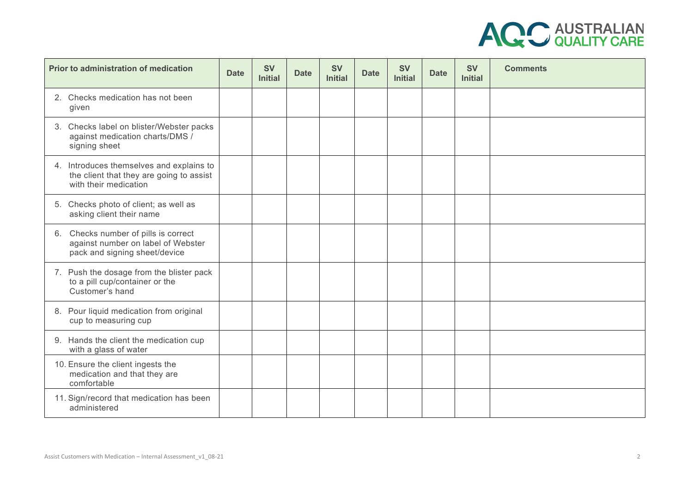

| Prior to administration of medication                                                                         | <b>Date</b> | <b>SV</b><br><b>Initial</b> | <b>Date</b> | <b>SV</b><br><b>Initial</b> | <b>Date</b> | <b>SV</b><br><b>Initial</b> | <b>Date</b> | <b>SV</b><br><b>Initial</b> | <b>Comments</b> |
|---------------------------------------------------------------------------------------------------------------|-------------|-----------------------------|-------------|-----------------------------|-------------|-----------------------------|-------------|-----------------------------|-----------------|
| 2. Checks medication has not been<br>given                                                                    |             |                             |             |                             |             |                             |             |                             |                 |
| 3. Checks label on blister/Webster packs<br>against medication charts/DMS /<br>signing sheet                  |             |                             |             |                             |             |                             |             |                             |                 |
| 4. Introduces themselves and explains to<br>the client that they are going to assist<br>with their medication |             |                             |             |                             |             |                             |             |                             |                 |
| 5. Checks photo of client; as well as<br>asking client their name                                             |             |                             |             |                             |             |                             |             |                             |                 |
| 6. Checks number of pills is correct<br>against number on label of Webster<br>pack and signing sheet/device   |             |                             |             |                             |             |                             |             |                             |                 |
| 7. Push the dosage from the blister pack<br>to a pill cup/container or the<br>Customer's hand                 |             |                             |             |                             |             |                             |             |                             |                 |
| 8. Pour liquid medication from original<br>cup to measuring cup                                               |             |                             |             |                             |             |                             |             |                             |                 |
| 9. Hands the client the medication cup<br>with a glass of water                                               |             |                             |             |                             |             |                             |             |                             |                 |
| 10. Ensure the client ingests the<br>medication and that they are<br>comfortable                              |             |                             |             |                             |             |                             |             |                             |                 |
| 11. Sign/record that medication has been<br>administered                                                      |             |                             |             |                             |             |                             |             |                             |                 |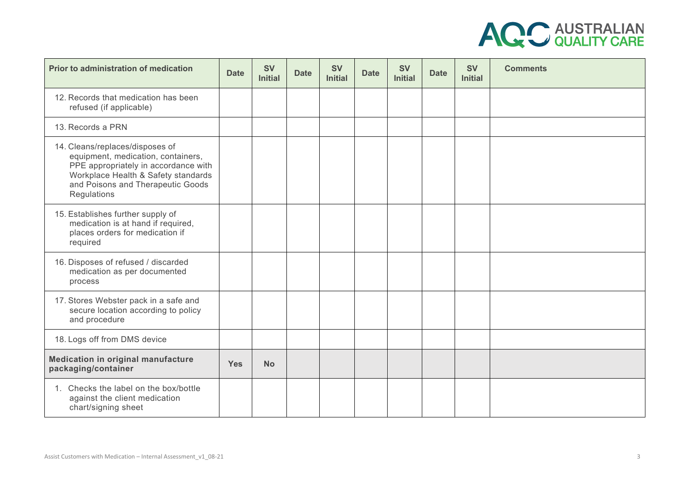

| Prior to administration of medication                                                                                                                                                                    | <b>Date</b> | <b>SV</b><br><b>Initial</b> | <b>Date</b> | <b>SV</b><br><b>Initial</b> | <b>Date</b> | <b>SV</b><br><b>Initial</b> | <b>Date</b> | <b>SV</b><br><b>Initial</b> | <b>Comments</b> |
|----------------------------------------------------------------------------------------------------------------------------------------------------------------------------------------------------------|-------------|-----------------------------|-------------|-----------------------------|-------------|-----------------------------|-------------|-----------------------------|-----------------|
| 12. Records that medication has been<br>refused (if applicable)                                                                                                                                          |             |                             |             |                             |             |                             |             |                             |                 |
| 13. Records a PRN                                                                                                                                                                                        |             |                             |             |                             |             |                             |             |                             |                 |
| 14. Cleans/replaces/disposes of<br>equipment, medication, containers,<br>PPE appropriately in accordance with<br>Workplace Health & Safety standards<br>and Poisons and Therapeutic Goods<br>Regulations |             |                             |             |                             |             |                             |             |                             |                 |
| 15. Establishes further supply of<br>medication is at hand if required,<br>places orders for medication if<br>required                                                                                   |             |                             |             |                             |             |                             |             |                             |                 |
| 16. Disposes of refused / discarded<br>medication as per documented<br>process                                                                                                                           |             |                             |             |                             |             |                             |             |                             |                 |
| 17. Stores Webster pack in a safe and<br>secure location according to policy<br>and procedure                                                                                                            |             |                             |             |                             |             |                             |             |                             |                 |
| 18. Logs off from DMS device                                                                                                                                                                             |             |                             |             |                             |             |                             |             |                             |                 |
| Medication in original manufacture<br>packaging/container                                                                                                                                                | <b>Yes</b>  | <b>No</b>                   |             |                             |             |                             |             |                             |                 |
| 1. Checks the label on the box/bottle<br>against the client medication<br>chart/signing sheet                                                                                                            |             |                             |             |                             |             |                             |             |                             |                 |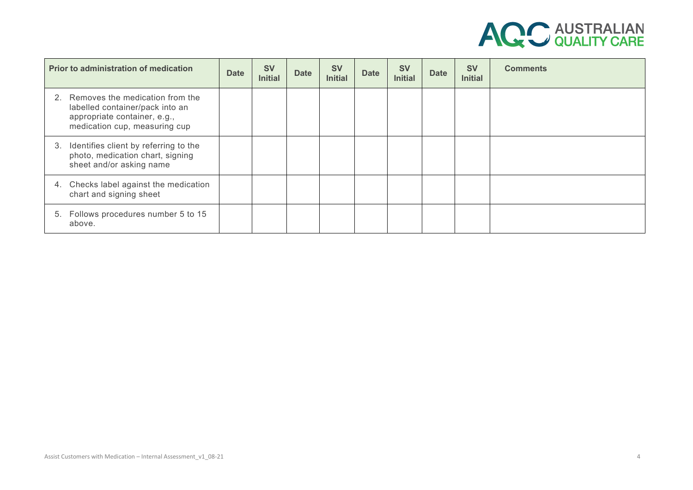

| <b>Prior to administration of medication</b>                                                                                           | <b>Date</b> | <b>SV</b><br><b>Initial</b> | <b>Date</b> | <b>SV</b><br><b>Initial</b> | <b>Date</b> | <b>SV</b><br><b>Initial</b> | <b>Date</b> | <b>SV</b><br><b>Initial</b> | <b>Comments</b> |
|----------------------------------------------------------------------------------------------------------------------------------------|-------------|-----------------------------|-------------|-----------------------------|-------------|-----------------------------|-------------|-----------------------------|-----------------|
| 2. Removes the medication from the<br>labelled container/pack into an<br>appropriate container, e.g.,<br>medication cup, measuring cup |             |                             |             |                             |             |                             |             |                             |                 |
| 3. Identifies client by referring to the<br>photo, medication chart, signing<br>sheet and/or asking name                               |             |                             |             |                             |             |                             |             |                             |                 |
| 4. Checks label against the medication<br>chart and signing sheet                                                                      |             |                             |             |                             |             |                             |             |                             |                 |
| 5. Follows procedures number 5 to 15<br>above.                                                                                         |             |                             |             |                             |             |                             |             |                             |                 |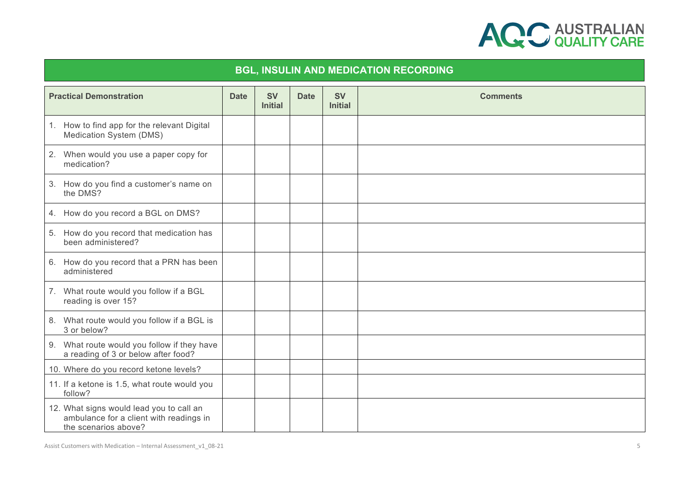

## **BGL, INSULIN AND MEDICATION RECORDING Practical Demonstration Date Date SV Initial Date SV Initial Comments** 1. How to find app for the relevant Digital Medication System (DMS) 2. When would you use a paper copy for medication? 3. How do you find a customer's name on the DMS? 4. How do you record a BGL on DMS? 5. How do you record that medication has been administered? 6. How do you record that a PRN has been administered 7. What route would you follow if a BGL reading is over 15? 8. What route would you follow if a BGL is 3 or below? 9. What route would you follow if they have a reading of 3 or below after food? 10. Where do you record ketone levels? 11. If a ketone is 1.5, what route would you follow? 12. What signs would lead you to call an ambulance for a client with readings in the scenarios above?